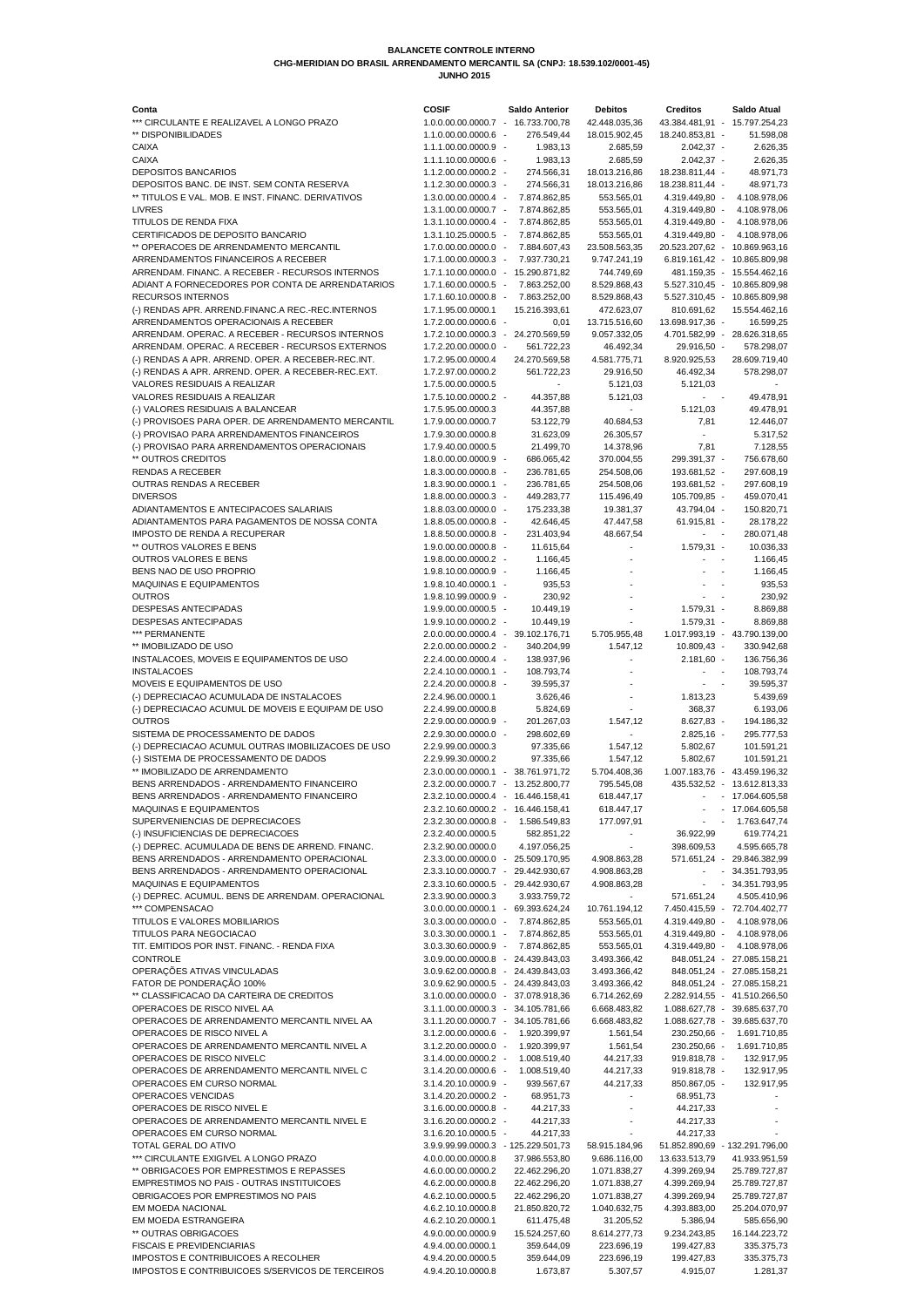| Conta                                                                                            | <b>COSIF</b>                                                             | <b>Saldo Anterior</b>          | <b>Debitos</b>               | <b>Creditos</b>                   | <b>Saldo Atual</b>                                           |
|--------------------------------------------------------------------------------------------------|--------------------------------------------------------------------------|--------------------------------|------------------------------|-----------------------------------|--------------------------------------------------------------|
| *** CIRCULANTE E REALIZAVEL A LONGO PRAZO                                                        | 1.0.0.00.00.0000.7 - 16.733.700,78                                       |                                | 42.448.035,36                |                                   | 43.384.481,91 - 15.797.254,23                                |
| ** DISPONIBILIDADES                                                                              | 1.1.0.00.00.0000.6 -                                                     | 276.549,44                     | 18.015.902,45                | 18.240.853,81 -                   | 51.598,08                                                    |
| <b>CAIXA</b>                                                                                     | 1.1.1.00.00.0000.9 -                                                     | 1.983,13                       | 2.685,59                     | $2.042,37 -$                      | 2.626,35                                                     |
| <b>CAIXA</b>                                                                                     | 1.1.1.10.00.0000.6 -                                                     | 1.983,13                       | 2.685,59                     | $2.042,37 -$                      | 2.626,35                                                     |
| <b>DEPOSITOS BANCARIOS</b>                                                                       | 1.1.2.00.00.0000.2 -                                                     | 274.566,31                     | 18.013.216,86                | 18.238.811,44 -                   | 48.971,73                                                    |
| DEPOSITOS BANC. DE INST. SEM CONTA RESERVA<br>** TITULOS E VAL. MOB. E INST. FINANC. DERIVATIVOS | 1.1.2.30.00.0000.3 -<br>1.3.0.00.00.0000.4 -                             | 274.566,31<br>7.874.862,85     | 18.013.216,86<br>553.565,01  | 18.238.811,44 -<br>4.319.449,80 - | 48.971,73<br>4.108.978,06                                    |
| <b>LIVRES</b>                                                                                    | 1.3.1.00.00.0000.7 -                                                     | 7.874.862,85                   | 553.565,01                   | 4.319.449,80 -                    | 4.108.978,06                                                 |
| <b>TITULOS DE RENDA FIXA</b>                                                                     | 1.3.1.10.00.0000.4 -                                                     | 7.874.862,85                   | 553.565,01                   | 4.319.449.80 -                    | 4.108.978,06                                                 |
| CERTIFICADOS DE DEPOSITO BANCARIO                                                                | 1.3.1.10.25.0000.5 -                                                     | 7.874.862,85                   | 553.565,01                   | 4.319.449,80 -                    | 4.108.978,06                                                 |
| ** OPERACOES DE ARRENDAMENTO MERCANTIL                                                           | 1.7.0.00.00.0000.0 -                                                     | 7.884.607,43                   | 23.508.563,35                | 20.523.207,62 -                   | 10.869.963,16                                                |
| ARRENDAMENTOS FINANCEIROS A RECEBER                                                              | 1.7.1.00.00.0000.3 -                                                     | 7.937.730,21                   | 9.747.241,19                 | $6.819.161,42 -$                  | 10.865.809,98                                                |
| ARRENDAM. FINANC. A RECEBER - RECURSOS INTERNOS                                                  | 1.7.1.10.00.0000.0 -                                                     | 15.290.871,82                  | 744.749,69                   |                                   | 481.159,35 - 15.554.462,16                                   |
| ADIANT A FORNECEDORES POR CONTA DE ARRENDATARIOS                                                 | 1.7.1.60.00.0000.5 -                                                     | 7.863.252,00                   | 8.529.868,43                 | 5.527.310,45 -                    | 10.865.809,98                                                |
| <b>RECURSOS INTERNOS</b>                                                                         | 1.7.1.60.10.0000.8 -                                                     | 7.863.252,00                   | 8.529.868,43                 | 5.527.310,45 -                    | 10.865.809,98                                                |
| (-) RENDAS APR. ARREND. FINANC. A REC.-REC. INTERNOS                                             | 1.7.1.95.00.0000.1                                                       | 15.216.393,61                  | 472.623,07                   | 810.691,62                        | 15.554.462,16                                                |
| ARRENDAMENTOS OPERACIONAIS A RECEBER                                                             | 1.7.2.00.00.0000.6 -                                                     | 0,01                           | 13.715.516,60                | 13.698.917,36 -                   | 16.599,25                                                    |
| ARRENDAM. OPERAC. A RECEBER - RECURSOS INTERNOS                                                  | 1.7.2.10.00.0000.3 -                                                     | 24.270.569,59                  | 9.057.332,05                 |                                   | 4.701.582,99 - 28.626.318,65                                 |
| ARRENDAM. OPERAC. A RECEBER - RECURSOS EXTERNOS                                                  | 1.7.2.20.00.0000.0 -                                                     | 561.722,23                     | 46.492,34                    | 29.916,50 -                       | 578.298,07                                                   |
| (-) RENDAS A APR. ARREND. OPER. A RECEBER-REC.INT.                                               | 1.7.2.95.00.0000.4                                                       | 24.270.569,58                  | 4.581.775,71                 | 8.920.925,53                      | 28.609.719,40                                                |
| (-) RENDAS A APR. ARREND. OPER. A RECEBER-REC.EXT.                                               | 1.7.2.97.00.0000.2                                                       | 561.722,23                     | 29.916,50                    | 46.492,34                         | 578.298,07                                                   |
| <b>VALORES RESIDUAIS A REALIZAR</b><br><b>VALORES RESIDUAIS A REALIZAR</b>                       | 1.7.5.00.00.0000.5<br>1.7.5.10.00.0000.2 -                               | 44.357,88                      | 5.121,03<br>5.121,03         | 5.121,03                          | 49.478,91                                                    |
| (-) VALORES RESIDUAIS A BALANCEAR                                                                | 1.7.5.95.00.0000.3                                                       | 44.357,88                      |                              | 5.121,03                          | 49.478,91                                                    |
| (-) PROVISOES PARA OPER. DE ARRENDAMENTO MERCANTIL                                               | 1.7.9.00.00.0000.7                                                       | 53.122,79                      | 40.684,53                    | 7,81                              | 12.446,07                                                    |
| (-) PROVISAO PARA ARRENDAMENTOS FINANCEIROS                                                      | 1.7.9.30.00.0000.8                                                       | 31.623,09                      | 26.305,57                    |                                   | 5.317,52                                                     |
| (-) PROVISAO PARA ARRENDAMENTOS OPERACIONAIS                                                     | 1.7.9.40.00.0000.5                                                       | 21.499,70                      | 14.378,96                    | 7,81                              | 7.128,55                                                     |
| ** OUTROS CREDITOS                                                                               | 1.8.0.00.00.0000.9 -                                                     | 686.065,42                     | 370.004,55                   | 299.391,37 -                      | 756.678,60                                                   |
| <b>RENDAS A RECEBER</b>                                                                          | 1.8.3.00.00.0000.8 -                                                     | 236.781,65                     | 254.508,06                   | 193.681,52 -                      | 297.608,19                                                   |
| <b>OUTRAS RENDAS A RECEBER</b>                                                                   | 1.8.3.90.00.0000.1 -                                                     | 236.781,65                     | 254.508,06                   | 193.681,52 -                      | 297.608,19                                                   |
| <b>DIVERSOS</b>                                                                                  | 1.8.8.00.00.0000.3 -                                                     | 449.283,77                     | 115.496,49                   | 105.709,85 -                      | 459.070,41                                                   |
| ADIANTAMENTOS E ANTECIPACOES SALARIAIS                                                           | 1.8.8.03.00.0000.0 -                                                     | 175.233,38                     | 19.381,37                    | 43.794,04 -                       | 150.820,71                                                   |
| ADIANTAMENTOS PARA PAGAMENTOS DE NOSSA CONTA                                                     | 1.8.8.05.00.0000.8 -                                                     | 42.646,45                      | 47.447,58                    | $61.915,81 -$                     | 28.178,22                                                    |
| <b>IMPOSTO DE RENDA A RECUPERAR</b>                                                              | 1.8.8.50.00.0000.8 -                                                     | 231.403,94                     | 48.667,54                    | $\sim$ $-$                        | 280.071,48                                                   |
| ** OUTROS VALORES E BENS                                                                         | 1.9.0.00.00.0000.8 -                                                     | 11.615,64                      | $\sim$                       | $1.579,31 -$                      | 10.036,33                                                    |
| <b>OUTROS VALORES E BENS</b>                                                                     | 1.9.8.00.00.0000.2 -                                                     | 1.166,45                       |                              |                                   | 1.166,45                                                     |
| BENS NAO DE USO PROPRIO                                                                          | 1.9.8.10.00.0000.9 -                                                     | 1.166,45                       |                              |                                   | 1.166,45                                                     |
| <b>MAQUINAS E EQUIPAMENTOS</b>                                                                   | 1.9.8.10.40.0000.1 -                                                     | 935,53                         |                              |                                   | 935,53                                                       |
| <b>OUTROS</b>                                                                                    | 1.9.8.10.99.0000.9 -                                                     | 230,92                         |                              |                                   | 230,92                                                       |
| <b>DESPESAS ANTECIPADAS</b><br>DESPESAS ANTECIPADAS                                              | 1.9.9.00.00.0000.5 -<br>1.9.9.10.00.0000.2 -                             | 10.449,19<br>10.449,19         |                              | $1.579,31 -$<br>$1.579,31 -$      | 8.869,88<br>8.869,88                                         |
| *** PERMANENTE                                                                                   | 2.0.0.00.00.0000.4 - 39.102.176,71                                       |                                | 5.705.955,48                 |                                   | 1.017.993,19 - 43.790.139,00                                 |
| ** IMOBILIZADO DE USO                                                                            | 2.2.0.00.00.0000.2 -                                                     | 340.204,99                     | 1.547,12                     | 10.809,43 -                       | 330.942,68                                                   |
| INSTALACOES, MOVEIS E EQUIPAMENTOS DE USO                                                        | 2.2.4.00.00.0000.4 -                                                     | 138.937,96                     |                              | $2.181,60 -$                      | 136.756,36                                                   |
| <b>INSTALACOES</b>                                                                               | 2.2.4.10.00.0000.1 -                                                     | 108.793,74                     |                              | $\sim 10^{-1}$ km s $^{-1}$       | 108.793,74                                                   |
| MOVEIS E EQUIPAMENTOS DE USO                                                                     | 2.2.4.20.00.0000.8 -                                                     | 39.595,37                      |                              |                                   | 39.595,37                                                    |
| (-) DEPRECIACAO ACUMULADA DE INSTALACOES                                                         | 2.2.4.96.00.0000.1                                                       | 3.626,46                       |                              | 1.813,23                          | 5.439,69                                                     |
| (-) DEPRECIACAO ACUMUL DE MOVEIS E EQUIPAM DE USO                                                | 2.2.4.99.00.0000.8                                                       | 5.824,69                       |                              | 368,37                            | 6.193,06                                                     |
| <b>OUTROS</b>                                                                                    | 2.2.9.00.00.0000.9 -                                                     | 201.267,03                     | 1.547,12                     | $8.627,83 -$                      | 194.186,32                                                   |
| SISTEMA DE PROCESSAMENTO DE DADOS                                                                | 2.2.9.30.00.0000.0 -                                                     | 298.602,69                     |                              | $2.825,16 -$                      | 295.777,53                                                   |
| (-) DEPRECIACAO ACUMUL OUTRAS IMOBILIZACOES DE USO                                               | 2.2.9.99.00.0000.3                                                       | 97.335,66                      | 1.547,12                     | 5.802,67                          | 101.591,21                                                   |
| (-) SISTEMA DE PROCESSAMENTO DE DADOS                                                            | 2.2.9.99.30.0000.2                                                       | 97.335,66                      | 1.547,12                     | 5.802,67                          | 101.591,21                                                   |
| ** IMOBILIZADO DE ARRENDAMENTO                                                                   | 2.3.0.00.00.0000.1 -                                                     | 38.761.971,72                  | 5.704.408,36                 |                                   | 1.007.183,76 - 43.459.196,32                                 |
| BENS ARRENDADOS - ARRENDAMENTO FINANCEIRO                                                        | 2.3.2.00.00.0000.7 - 13.252.800,77                                       |                                | 795.545,08                   |                                   | 435.532,52 - 13.612.813,33                                   |
| BENS ARRENDADOS - ARRENDAMENTO FINANCEIRO                                                        | 2.3.2.10.00.0000.4 - 16.446.158,41                                       |                                | 618.447,17                   |                                   | - 17.064.605,58                                              |
| <b>MAQUINAS E EQUIPAMENTOS</b>                                                                   | 2.3.2.10.60.0000.2 - 16.446.158,41                                       |                                | 618.447,17                   |                                   | - 17.064.605,58                                              |
| SUPERVENIENCIAS DE DEPRECIACOES<br>(-) INSUFICIENCIAS DE DEPRECIACOES                            | 2.3.2.30.00.0000.8 -<br>2.3.2.40.00.0000.5                               | 1.586.549,83<br>582.851,22     | 177.097,91                   | $\sim 100$<br>36.922,99           | 1.763.647,74<br>$\sim$<br>619.774,21                         |
| (-) DEPREC. ACUMULADA DE BENS DE ARREND. FINANC.                                                 | 2.3.2.90.00.0000.0                                                       | 4.197.056,25                   |                              | 398.609,53                        | 4.595.665,78                                                 |
| BENS ARRENDADOS - ARRENDAMENTO OPERACIONAL                                                       | 2.3.3.00.00.0000.0 -                                                     | 25.509.170,95                  | 4.908.863,28                 |                                   | 571.651,24 - 29.846.382,99                                   |
| BENS ARRENDADOS - ARRENDAMENTO OPERACIONAL                                                       | 2.3.3.10.00.0000.7 - 29.442.930,67                                       |                                | 4.908.863,28                 | $\sim$                            | $-34.351.793,95$                                             |
| <b>MAQUINAS E EQUIPAMENTOS</b>                                                                   | 2.3.3.10.60.0000.5 - 29.442.930,67                                       |                                | 4.908.863,28                 | $\omega_{\rm{max}}=0.01$          | 34.351.793,95                                                |
| (-) DEPREC. ACUMUL. BENS DE ARRENDAM. OPERACIONAL                                                | 2.3.3.90.00.0000.3                                                       | 3.933.759,72                   | $\sim$                       | 571.651,24                        | 4.505.410,96                                                 |
| *** COMPENSACAO                                                                                  | 3.0.0.00.00.0000.1 - 69.393.624,24                                       |                                | 10.761.194,12                |                                   | 7.450.415,59 - 72.704.402,77                                 |
| TITULOS E VALORES MOBILIARIOS                                                                    | 3.0.3.00.00.0000.0 -                                                     | 7.874.862,85                   | 553.565,01                   | 4.319.449,80 -                    | 4.108.978,06                                                 |
| TITULOS PARA NEGOCIACAO                                                                          | 3.0.3.30.00.0000.1 -                                                     | 7.874.862,85                   | 553.565,01                   | 4.319.449,80 -                    | 4.108.978,06                                                 |
| TIT. EMITIDOS POR INST. FINANC. - RENDA FIXA                                                     | 3.0.3.30.60.0000.9 -                                                     | 7.874.862,85                   | 553.565,01                   | 4.319.449,80 -                    | 4.108.978,06                                                 |
| <b>CONTROLE</b>                                                                                  | 3.0.9.00.00.0000.8 - 24.439.843,03                                       |                                | 3.493.366,42                 |                                   | 848.051,24 - 27.085.158,21                                   |
| OPERAÇÕES ATIVAS VINCULADAS                                                                      | 3.0.9.62.00.0000.8 - 24.439.843,03                                       |                                | 3.493.366,42                 |                                   | 848.051,24 - 27.085.158,21                                   |
| FATOR DE PONDERAÇÃO 100%                                                                         | 3.0.9.62.90.0000.5 - 24.439.843,03                                       |                                | 3.493.366,42                 |                                   | 848.051,24 - 27.085.158,21                                   |
| ** CLASSIFICACAO DA CARTEIRA DE CREDITOS                                                         | 3.1.0.00.00.0000.0 - 37.078.918,36                                       |                                | 6.714.262,69                 |                                   | 2.282.914,55 - 41.510.266,50                                 |
| OPERACOES DE RISCO NIVEL AA<br>OPERACOES DE ARRENDAMENTO MERCANTIL NIVEL AA                      | 3.1.1.00.00.0000.3 - 34.105.781,66<br>3.1.1.20.00.0000.7 - 34.105.781,66 |                                | 6.668.483,82<br>6.668.483,82 |                                   | 1.088.627,78 - 39.685.637,70<br>1.088.627,78 - 39.685.637,70 |
| OPERACOES DE RISCO NIVEL A                                                                       | 3.1.2.00.00.0000.6 -                                                     | 1.920.399,97                   | 1.561,54                     | 230.250,66 -                      | 1.691.710,85                                                 |
| OPERACOES DE ARRENDAMENTO MERCANTIL NIVEL A                                                      | 3.1.2.20.00.0000.0 -                                                     | 1.920.399,97                   | 1.561,54                     | 230.250,66 -                      | 1.691.710,85                                                 |
| OPERACOES DE RISCO NIVELC                                                                        | 3.1.4.00.00.0000.2 -                                                     | 1.008.519,40                   | 44.217,33                    | 919.818,78 -                      | 132.917,95                                                   |
| OPERACOES DE ARRENDAMENTO MERCANTIL NIVEL C                                                      | 3.1.4.20.00.0000.6 -                                                     | 1.008.519,40                   | 44.217,33                    | 919.818,78 -                      | 132.917,95                                                   |
| OPERACOES EM CURSO NORMAL                                                                        | 3.1.4.20.10.0000.9 -                                                     | 939.567,67                     | 44.217,33                    | 850.867,05 -                      | 132.917,95                                                   |
| OPERACOES VENCIDAS                                                                               | 3.1.4.20.20.0000.2 -                                                     | 68.951,73                      |                              | 68.951,73                         |                                                              |
| OPERACOES DE RISCO NIVEL E                                                                       | 3.1.6.00.00.0000.8 -                                                     | 44.217,33                      |                              | 44.217,33                         |                                                              |
| OPERACOES DE ARRENDAMENTO MERCANTIL NIVEL E                                                      | 3.1.6.20.00.0000.2 -                                                     | 44.217,33                      |                              | 44.217,33                         |                                                              |
| OPERACOES EM CURSO NORMAL                                                                        | 3.1.6.20.10.0000.5 -                                                     | 44.217,33                      |                              | 44.217,33                         |                                                              |
| TOTAL GERAL DO ATIVO                                                                             | 3.9.9.99.99.0000.3 - 125.229.501,73                                      |                                | 58.915.184,96                |                                   | 51.852.890,69 - 132.291.796,00                               |
| *** CIRCULANTE EXIGIVEL A LONGO PRAZO                                                            | 4.0.0.00.00.0000.8                                                       | 37.986.553,80                  | 9.686.116,00                 | 13.633.513,79                     | 41.933.951,59                                                |
| ** OBRIGACOES POR EMPRESTIMOS E REPASSES                                                         | 4.6.0.00.00.0000.2                                                       | 22.462.296,20                  | 1.071.838,27                 | 4.399.269,94                      | 25.789.727,87                                                |
| EMPRESTIMOS NO PAIS - OUTRAS INSTITUICOES                                                        | 4.6.2.00.00.0000.8                                                       | 22.462.296,20                  | 1.071.838,27                 | 4.399.269,94                      | 25.789.727,87                                                |
| OBRIGACOES POR EMPRESTIMOS NO PAIS<br>EM MOEDA NACIONAL                                          | 4.6.2.10.00.0000.5<br>4.6.2.10.10.0000.8                                 | 22.462.296,20<br>21.850.820,72 | 1.071.838,27<br>1.040.632,75 | 4.399.269,94<br>4.393.883,00      | 25.789.727,87<br>25.204.070,97                               |
| EM MOEDA ESTRANGEIRA                                                                             | 4.6.2.10.20.0000.1                                                       | 611.475,48                     | 31.205,52                    | 5.386,94                          | 585.656,90                                                   |
| ** OUTRAS OBRIGACOES                                                                             | 4.9.0.00.00.0000.9                                                       | 15.524.257,60                  | 8.614.277,73                 | 9.234.243,85                      | 16.144.223,72                                                |
| <b>FISCAIS E PREVIDENCIARIAS</b>                                                                 | 4.9.4.00.00.0000.1                                                       | 359.644,09                     | 223.696,19                   | 199.427,83                        | 335.375,73                                                   |
| <b>IMPOSTOS E CONTRIBUICOES A RECOLHER</b>                                                       | 4.9.4.20.00.0000.5                                                       | 359.644,09                     | 223.696,19                   | 199.427,83                        | 335.375,73                                                   |
| <b>IMPOSTOS E CONTRIBUICOES S/SERVICOS DE TERCEIROS</b>                                          | 4.9.4.20.10.0000.8                                                       | 1.673.87                       | 5.307.57                     | 4.915,07                          | 1.281,37                                                     |

## **BALANCETE CONTROLE INTERNO CHG-MERIDIAN DO BRASIL ARRENDAMENTO MERCANTIL SA (CNPJ: 18.539.102/0001-45)**

 **JUNHO 2015**